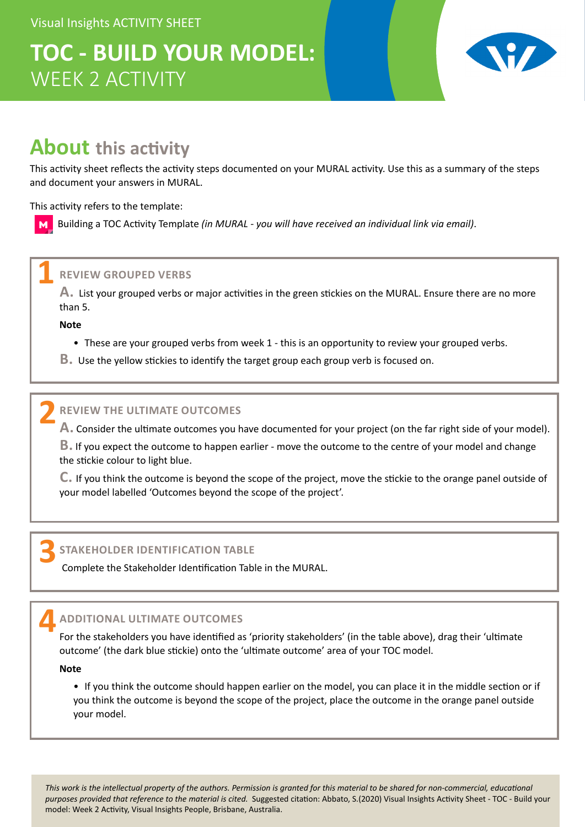# **TOC - BUILD YOUR MODEL:** WEEK 2 ACTIVITY



# **About this activity**

This activity sheet reflects the activity steps documented on your MURAL activity. Use this as a summary of the steps and document your answers in MURAL.

This activity refers to the template:

Building a TOC Activity Template *(in MURAL - you will have received an individual link via email)*.

## **REVIEW GROUPED VERBS 1**

**A.** List your grouped verbs or major activities in the green stickies on the MURAL. Ensure there are no more than 5.

**Note**

 $$ 

- These are your grouped verbs from week 1 this is an opportunity to review your grouped verbs.
- **B.** Use the yellow stickies to identify the target group each group verb is focused on.

## **REVIEW THE ULTIMATE OUTCOMES 2**

**A.** Consider the ultimate outcomes you have documented for your project (on the far right side of your model).

**B.** If you expect the outcome to happen earlier - move the outcome to the centre of your model and change the stickie colour to light blue.

**C.** If you think the outcome is beyond the scope of the project, move the stickie to the orange panel outside of your model labelled 'Outcomes beyond the scope of the project'.

### **STAKEHOLDER IDENTIFICATION TABLE 3**

Complete the Stakeholder Identification Table in the MURAL.

## **ADDITIONAL ULTIMATE OUTCOMES 4**

For the stakeholders you have identified as 'priority stakeholders' (in the table above), drag their 'ultimate outcome' (the dark blue stickie) onto the 'ultimate outcome' area of your TOC model.

**Note**

• If you think the outcome should happen earlier on the model, you can place it in the middle section or if you think the outcome is beyond the scope of the project, place the outcome in the orange panel outside your model.

*This work is the intellectual property of the authors. Permission is granted for this material to be shared for non-commercial, educational*  purposes provided that reference to the material is cited. Suggested citation: Abbato, S.(2020) Visual Insights Activity Sheet - TOC - Build your model: Week 2 Activity, Visual Insights People, Brisbane, Australia.